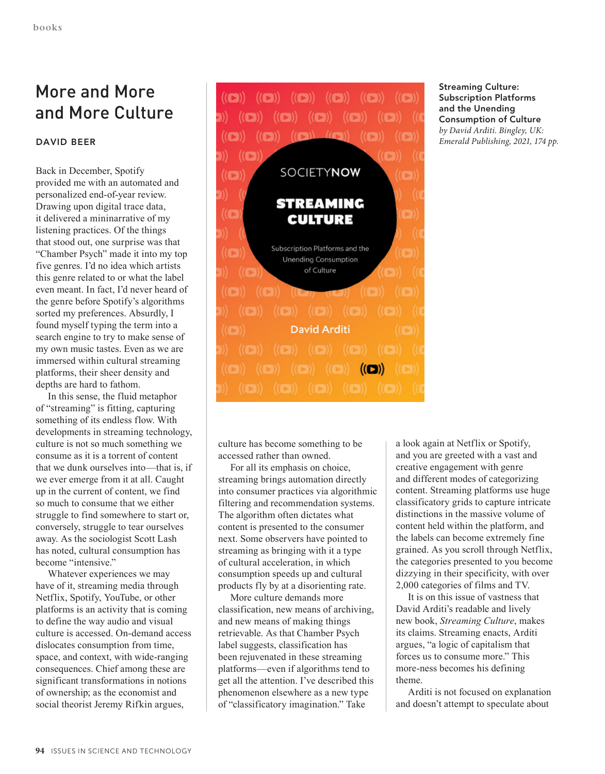## More and More and More Culture

## **DAVID BEER**

Back in December, Spotify provided me with an automated and personalized end-of-year review. Drawing upon digital trace data, it delivered a mininarrative of my listening practices. Of the things that stood out, one surprise was that "Chamber Psych" made it into my top five genres. I'd no idea which artists this genre related to or what the label even meant. In fact, I'd never heard of the genre before Spotify's algorithms sorted my preferences. Absurdly, I found myself typing the term into a search engine to try to make sense of my own music tastes. Even as we are immersed within cultural streaming platforms, their sheer density and depths are hard to fathom.

In this sense, the fluid metaphor of "streaming" is fitting, capturing something of its endless flow. With developments in streaming technology, culture is not so much something we consume as it is a torrent of content that we dunk ourselves into—that is, if we ever emerge from it at all. Caught up in the current of content, we find so much to consume that we either struggle to find somewhere to start or, conversely, struggle to tear ourselves away. As the sociologist Scott Lash has noted, cultural consumption has become "intensive."

Whatever experiences we may have of it, streaming media through Netflix, Spotify, YouTube, or other platforms is an activity that is coming to define the way audio and visual culture is accessed. On-demand access dislocates consumption from time, space, and context, with wide-ranging consequences. Chief among these are significant transformations in notions of ownership; as the economist and social theorist Jeremy Rifkin argues,



**Streaming Culture: Subscription Platforms and the Unending Consumption of Culture** *by David Arditi. Bingley, UK: Emerald Publishing, 2021, 174 pp.*

culture has become something to be accessed rather than owned.

For all its emphasis on choice, streaming brings automation directly into consumer practices via algorithmic filtering and recommendation systems. The algorithm often dictates what content is presented to the consumer next. Some observers have pointed to streaming as bringing with it a type of cultural acceleration, in which consumption speeds up and cultural products fly by at a disorienting rate.

More culture demands more classification, new means of archiving, and new means of making things retrievable. As that Chamber Psych label suggests, classification has been rejuvenated in these streaming platforms—even if algorithms tend to get all the attention. I've described this phenomenon elsewhere as a new type of "classificatory imagination." Take

a look again at Netflix or Spotify, and you are greeted with a vast and creative engagement with genre and different modes of categorizing content. Streaming platforms use huge classificatory grids to capture intricate distinctions in the massive volume of content held within the platform, and the labels can become extremely fine grained. As you scroll through Netflix, the categories presented to you become dizzying in their specificity, with over 2,000 categories of films and TV.

It is on this issue of vastness that David Arditi's readable and lively new book, *Streaming Culture*, makes its claims. Streaming enacts, Arditi argues, "a logic of capitalism that forces us to consume more." This more-ness becomes his defining theme.

Arditi is not focused on explanation and doesn't attempt to speculate about